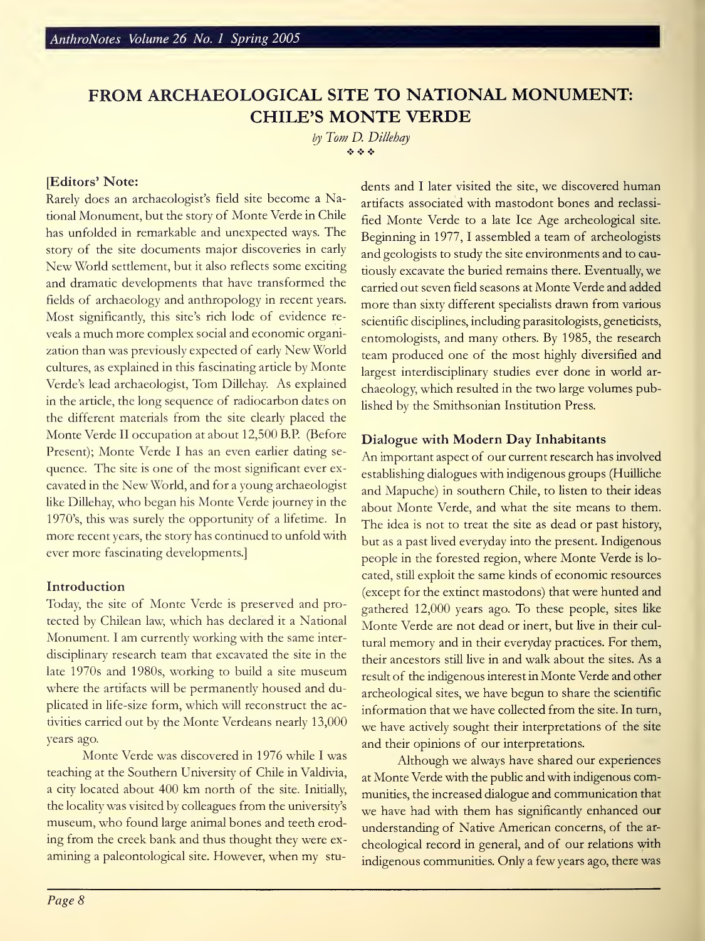# FROM ARCHAEOLOGICAL SITE TO NATIONAL MONUMENT: CHILE'S MONTE VERDE

by Tom D. Dillehay  $\phi \phi \phi$ 

# [Editors' Note:

Rarely does an archaeologist's field site become <sup>a</sup> National Monument, but the story of Monte Verde in Chile has unfolded in remarkable and unexpected ways. The story of the site documents major discoveries in early New World settlement, but it also reflects some exciting and dramatic developments that have transformed the fields of archaeology and anthropology in recent years. Most significantly, this site's rich lode of evidence re veals <sup>a</sup> much more complex social and economic organization than was previously expected of early New World cultures, as explained in this fascinating article by Monte Verde's lead archaeologist, Tom Dillehay. As explained in the article, the long sequence of radiocarbon dates on the different materials from the site clearly placed the Monte Verde II occupation at about 12,500 B.P. (Before Present); Monte Verde <sup>I</sup> has an even earlier dating se quence. The site is one of the most significant ever ex cavated in the New World, and for <sup>a</sup> young archaeologist like Dillehay, who began his Monte Verde journey in the 1970's, this was surely the opportunity of a lifetime. In more recent years, the story has continued to unfold with ever more fascinating developments.]

### Introduction

Today, the site of Monte Verde is preserved and protected by Chilean law, which has declared it <sup>a</sup> National Monument. <sup>I</sup> am currently working with the same inter disciplinary research team that excavated the site in the late 1970s and 1980s, working to build <sup>a</sup> site museum where the artifacts will be permanently housed and duplicated in life-size form, which will reconstruct the activities carried out by the Monte Verdeans nearly 13,000 years ago.

Monte Verde was discovered in 1976 while I was teaching at the Southern University of Chile in Valdivia, <sup>a</sup> city located about 400 km north of the site. Initially, the locality was visited by colleagues from the university's museum, who found large animal bones and teeth eroding from the creek bank and thus thought they were ex amining <sup>a</sup> paleontological site. However, when my students and I later visited the site, we discovered human artifacts associated with mastodont bones and reclassi fied Monte Verde to <sup>a</sup> late Ice Age archeological site. Beginning in 1977, <sup>1</sup> assembled a team of archeologists and geologists to study the site environments and to cautiously excavate the buried remains there. Eventually, we carried out seven field seasons at Monte Verde and added more than sixty different specialists drawn from various scientific disciplines, including parasitologists, geneticists, entomologists, and many others. By 1985, the research team produced one of the most highly diversified and largest interdisciplinary studies ever done in world ar chaeology, which resulted in the two large volumes published by the Smithsonian Institution Press.

# Dialogue with Modern Day Inhabitants

An important aspect of our current research has involved establishing dialogues with indigenous groups (Huilliche and Mapuche) in southern Chile, to listen to their ideas about Monte Verde, and what the site means to them. The idea is not to treat the site as dead or past history, but as a past lived everyday into the present. Indigenous people in the forested region, where Monte Verde is lo cated, still exploit the same kinds of economic resources (except for the extinct mastodons) that were hunted and gathered 12,000 years ago. To these people, sites like Monte Verde are not dead or inert, but live in their cultural memory and in their everyday practices. For them, their ancestors still live in and walk about the sites. As <sup>a</sup> result of the indigenous interest in Monte Verde and other archeological sites, we have begun to share the scientific information that we have collected from the site. In turn, we have actively sought their interpretations of the site and their opinions of our interpretations.

Although we always have shared our experiences at Monte Verde with the public and with indigenous communities, the increased dialogue and communication that we have had with them has significantly enhanced our understanding of Native American concerns, of the ar cheological record in general, and of our relations with indigenous communities. Only a few years ago, there was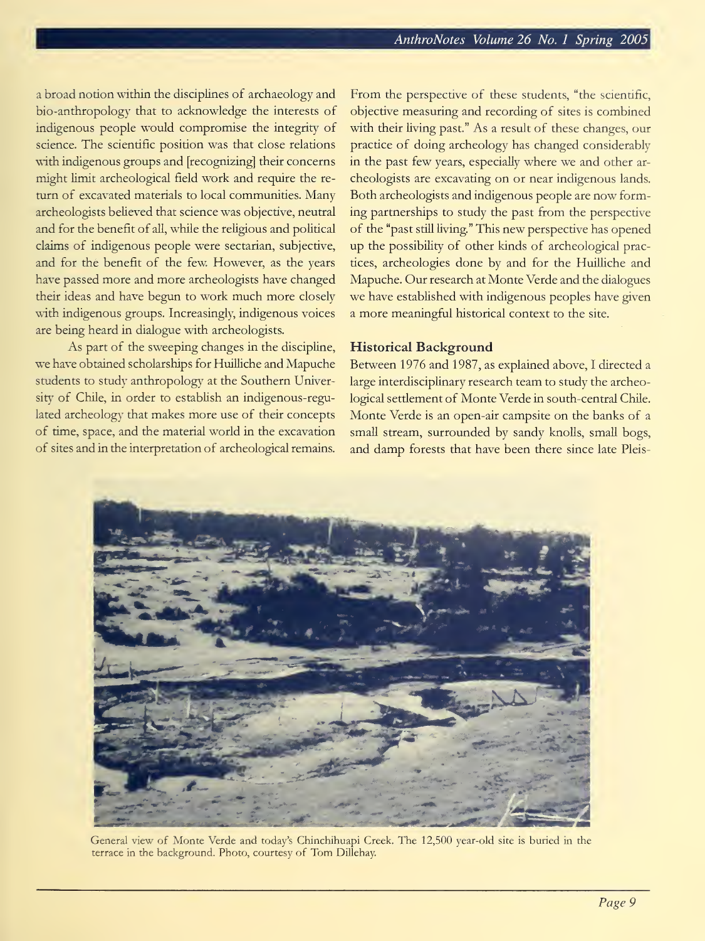a broad notion within the disciplines of archaeology and bio-anthropology that to acknowledge the interests of indigenous people would compromise the integrity of science. The scientific position was that close relations with indigenous groups and [recognizing] their concerns might limit archeological field work and require the re turn of excavated materials to local communities. Many archeologists believed that science was objective, neutral and for the benefit of all, while the religious and political claims of indigenous people were sectarian, subjective, and for the benefit of the few. However, as the years have passed more and more archeologists have changed their ideas and have begun to work much more closely with indigenous groups. Increasingly, indigenous voices are being heard in dialogue with archeologists.

As part of the sweeping changes in the discipline, we have obtained scholarships for Huilliche and Mapuche students to study anthropology at the Southern University of Chile, in order to establish an indigenous-regulated archeology that makes more use of their concepts of time, space, and the material world in the excavation of sites and in the interpretation of archeological remains.

From the perspective of these students, "the scientific, objective measuring and recording of sites is combined with their living past." As a result of these changes, our practice of doing archeology has changed considerably in the past few years, especially where we and other ar cheologists are excavating on or near indigenous lands. Both archeologists and indigenous people are now forming partnerships to study the past from the perspective of the "past still living." This new perspective has opened up the possibility of other kinds of archeological practices, archeologies done by and for the Huilliche and Mapuche. Our research at Monte Verde and the dialogues we have established with indigenous peoples have given a more meaningful historical context to the site.

# Historical Background

Between 1976 and 1987, as explained above, I directed a large interdisciplinary research team to study the archeological settlement of Monte Verde in south-central Chile. Monte Verde is an open-air campsite on the banks of <sup>a</sup> small stream, surrounded by sandy knolls, small bogs, and damp forests that have been there since late Pleis-



General view of Monte Verde and today's Chinchihuapi Creek. The 12,500 year-old site is buried in die terrace in the background. Photo, courtesy of Tom DiLehay.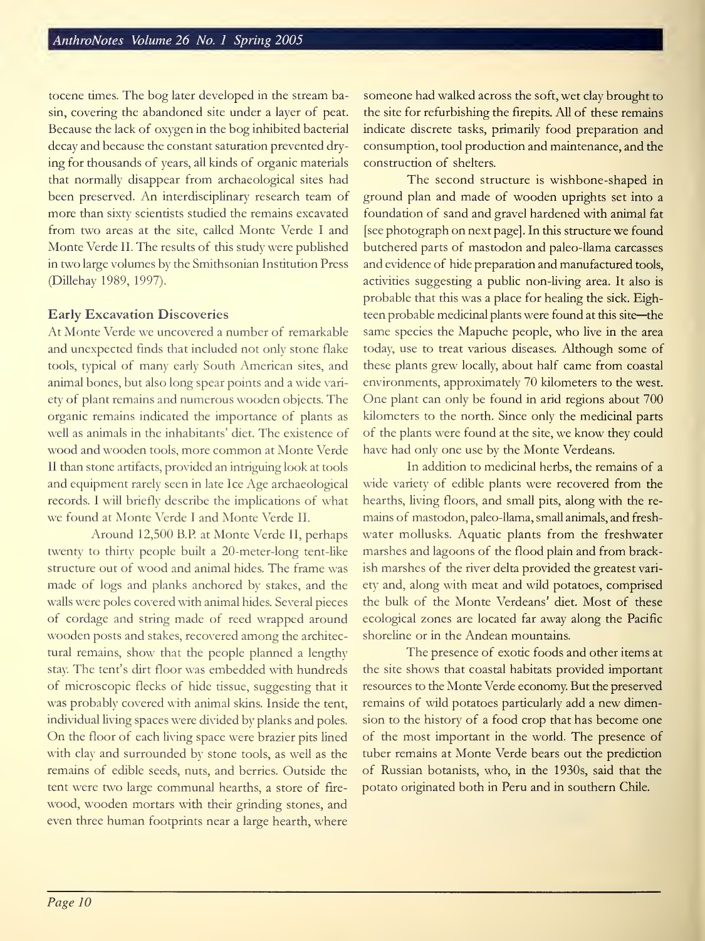tocene times. The bog later developed in the stream basin, covering the abandoned site under a layer of peat. Because the lack of oxygen in the bog inhibited bacterial decay and because the constant saturation prevented drying for thousands of years, all kinds of organic materials that normally disappear from archaeological sites had been preserved. An interdisciplinary research team of more than sixty scientists studied the remains excavated from two areas at the site, called Monte Verde I and Monte Verde II. The results of this study were published in two large volumes by the Smithsonian Institution Press (Dillehay 1989, 1997).

# Early Excavation Discoveries

At Monte Verde we uncovered <sup>a</sup> number of remarkable and unexpected finds that included not only stone flake tools, typical of many early South American sites, and animal bones, but also long spear points and a wide vari ety of plant remains and numerous wooden objects. The organic remains indicated the importance of plants as well as animals in the inhabitants' diet. The existence of wood and wooden tools, more common at Monte Verde II than stone artifacts, provided an intriguing look at tools and equipment rarely seen in late Ice Age archaeological records. <sup>I</sup> will briefly describe the implications of what we found at Monte Verde <sup>I</sup> and Monte Verde II.

Around 12,500 B.P. at Monte Verde II, perhaps twenty to thirty people built a 20-meter-long tent-like structure out of wood and animal hides. The frame was made of logs and planks anchored by stakes, and the walls were poles covered with animal hides. Several pieces of cordage and string made of reed wrapped around wooden posts and stakes, recovered among the architectural remains, show that the people planned <sup>a</sup> lengthy stay. The tent's dirt floor was embedded with hundreds of microscopic flecks of hide tissue, suggesting that it was probably covered with animal skins. Inside the tent, individual living spaces were divided by planks and poles. On the floor of each living space were brazier pits lined with clay and surrounded by stone tools, as well as the remains of edible seeds, nuts, and berries. Outside the tent were two large communal hearths, a store of fire wood, wooden mortars with their grinding stones, and even three human footprints near <sup>a</sup> large hearth, where someone had walked across the soft, wet clay brought to the site for refurbishing the firepits. All of these remains indicate discrete tasks, primarily food preparation and consumption, tool production and maintenance, and the construction of shelters.

The second structure is wishbone-shaped in ground plan and made of wooden uprights set into <sup>a</sup> foundation of sand and gravel hardened with animal fat [see photograph on next page]. In this structure we found butchered parts of mastodon and paleo-llama carcasses and evidence of hide preparation and manufactured tools, activities suggesting a public non-living area. It also is probable that this was a place for healing the sick. Eighteen probable medicinal plants were found at this site—the same species the Mapuche people, who live in the area today, use to treat various diseases. Although some of these plants grew locally, about half came from coastal environments, approximately 70 kilometers to the west. One plant can only be found in arid regions about 700 kilometers to the north. Since only the medicinal parts of the plants were found at the site, we know they could have had only one use by the Monte Verdeans.

In addition to medicinal herbs, the remains of a wide variety of edible plants were recovered from the hearths, living floors, and small pits, along with the re mains of mastodon, paleo-llama, small animals, and fresh water mollusks. Aquatic plants from the freshwater marshes and lagoons of the flood plain and from brackish marshes of the river delta provided the greatest variety <sup>7</sup> and, along with meat and wild potatoes, comprised the bulk of the Monte Verdeans' diet. Most of these ecological zones are located far away along the Pacific shoreline or in the Andean mountains.

The presence of exotic foods and other items at the site shows that coastal habitats provided important resources to the Monte Verde economy. But the preserved remains of wild potatoes particularly add <sup>a</sup> new dimension to the history of a food crop that has become one of the most important in the world. The presence of tuber remains at Monte Verde bears out the prediction of Russian botanists, who, in the 1930s, said that the potato originated both in Peru and in southern Chile.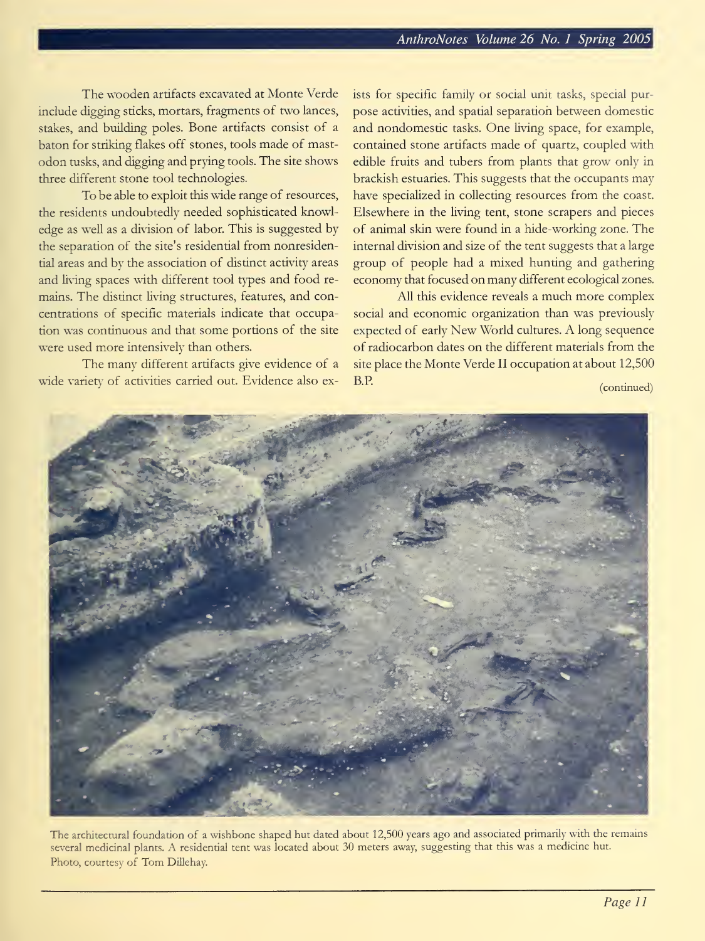The wooden artifacts excavated at Monte Verde include digging sticks, mortars, fragments of two lances, stakes, and building poles. Bone artifacts consist of <sup>a</sup> baton for striking flakes off stones, tools made of mastodon tusks, and digging and prying tools. The site shows three different stone tool technologies.

To be able to exploit this wide range of resources, the residents undoubtedly needed sophisticated knowledge as well as a division of labor. This is suggested by the separation of the site's residential from nonresidential areas and bv the association of distinct activity areas and living spaces with different tool types and food re mains. The distinct living structures, features, and concentrations of specific materials indicate that occupation was continuous and that some portions of the site were used more intensively than others.

The many different artifacts give evidence of <sup>a</sup> wide variety of activities carried out. Evidence also exists for specific family or social unit tasks, special pur pose activities, and spatial separation between domestic and nondomestic tasks. One living space, for example, contained stone artifacts made of quartz, coupled with edible fruits and tubers from plants that grow only in brackish estuaries. This suggests that the occupants may have specialized in collecting resources from the coast. Elsewhere in the living tent, stone scrapers and pieces of animal skin were found in <sup>a</sup> hide-working zone. The internal division and size of the tent suggests that a large group of people had a mixed hunting and gathering economy that focused on many different ecological zones.

All this evidence reveals <sup>a</sup> much more complex social and economic organization than was previously expected of early New World cultures. A long sequence of radiocarbon dates on the different materials from the site place the Monte Verde II occupation at about 12,500 B.P. (continued)



The architectural foundation of a wishbone shaped hut dated about 12,500 years ago and associated primarily with the remains several medicinal plants. A residential tent was located about <sup>30</sup> meters away, suggesting that this was <sup>a</sup> medicine hut. Photo, courtesy of Tom Dillehay.